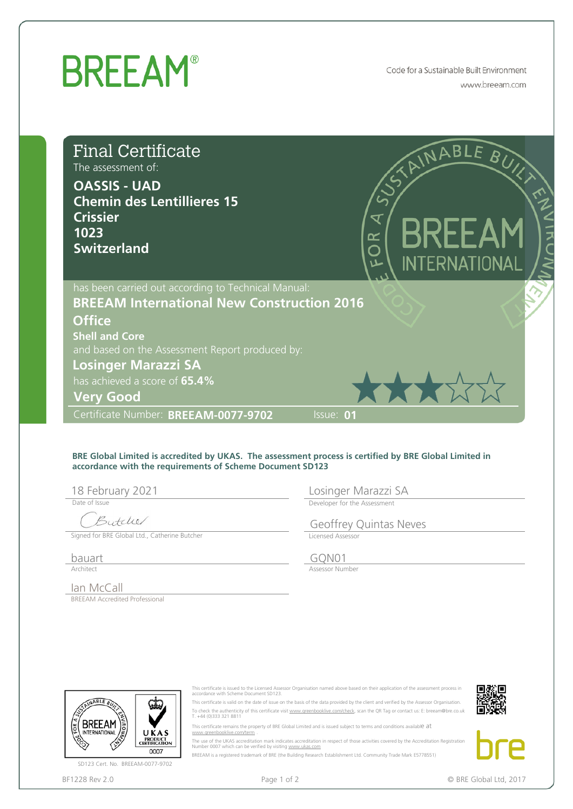## **BREEAM®**

Code for a Sustainable Built Environment www.breeam.com

| <b>Final Certificate</b><br>The assessment of:<br><b>OASSIS - UAD</b><br><b>Chemin des Lentillieres 15</b><br><b>Crissier</b><br>1023<br><b>Switzerland</b>            |                                                                                                                                                              | E BRE<br><b>INTERNATIONAL</b>                                                                                                                                                                                                                                                                                                                                                                                                                                                                                                                                                                                                                                                                                                                                                                                     |
|------------------------------------------------------------------------------------------------------------------------------------------------------------------------|--------------------------------------------------------------------------------------------------------------------------------------------------------------|-------------------------------------------------------------------------------------------------------------------------------------------------------------------------------------------------------------------------------------------------------------------------------------------------------------------------------------------------------------------------------------------------------------------------------------------------------------------------------------------------------------------------------------------------------------------------------------------------------------------------------------------------------------------------------------------------------------------------------------------------------------------------------------------------------------------|
|                                                                                                                                                                        | has been carried out according to Technical Manual:<br><b>BREEAM International New Construction 2016</b>                                                     |                                                                                                                                                                                                                                                                                                                                                                                                                                                                                                                                                                                                                                                                                                                                                                                                                   |
| <b>Office</b><br><b>Shell and Core</b><br><b>Losinger Marazzi SA</b><br>has achieved a score of 65.4%<br><b>Very Good</b>                                              | and based on the Assessment Report produced by:                                                                                                              | XXXX                                                                                                                                                                                                                                                                                                                                                                                                                                                                                                                                                                                                                                                                                                                                                                                                              |
| Certificate Number: BREEAM-0077-9702                                                                                                                                   |                                                                                                                                                              | Issue: 01                                                                                                                                                                                                                                                                                                                                                                                                                                                                                                                                                                                                                                                                                                                                                                                                         |
| 18 February 2021<br>Date of Issue<br>Butcher<br>Signed for BRE Global Ltd., Catherine Butcher                                                                          | accordance with the requirements of Scheme Document SD123                                                                                                    | BRE Global Limited is accredited by UKAS. The assessment process is certified by BRE Global Limited in<br>Losinger Marazzi SA<br>Developer for the Assessment<br><b>Geoffrey Quintas Neves</b><br>Licensed Assessor                                                                                                                                                                                                                                                                                                                                                                                                                                                                                                                                                                                               |
| bauart                                                                                                                                                                 |                                                                                                                                                              | GQN01                                                                                                                                                                                                                                                                                                                                                                                                                                                                                                                                                                                                                                                                                                                                                                                                             |
| Architect                                                                                                                                                              |                                                                                                                                                              | Assessor Number                                                                                                                                                                                                                                                                                                                                                                                                                                                                                                                                                                                                                                                                                                                                                                                                   |
| lan McCall<br><b>BREEAM Accredited Professional</b><br>NABLE R<br><b>INTERNATIONAL</b><br>UKAS<br>PRODUCT<br>CERTIFICATION<br>0007<br>SD123 Cert. No. BREEAM-0077-9702 | accordance with Scheme Document SD123.<br>T. +44 (0)333 321 8811<br>www.areenbooklive.com/term<br>Number 0007 which can be verified by visiting www.ukas.com | This certificate is issued to the Licensed Assessor Organisation named above based on their application of the assessment process in<br>This certificate is valid on the date of issue on the basis of the data provided by the client and verified by the Assessor Organisation.<br>To check the authenticity of this certificate visit www.greenbooklive.com/check, scan the QR Tag or contact us: E: breeam@bre.co.uk<br>This certificate remains the property of BRE Global Limited and is issued subject to terms and conditions available at<br>The use of the UKAS accreditation mark indicates accreditation in respect of those activities covered by the Accreditation Registration<br>BREEAM is a registered trademark of BRE (the Building Research Establishment Ltd. Community Trade Mark E5778551) |
| BF1228 Rev 2.0                                                                                                                                                         | Page 1 of 2                                                                                                                                                  | © BRE Global Ltd, 2017                                                                                                                                                                                                                                                                                                                                                                                                                                                                                                                                                                                                                                                                                                                                                                                            |

## **BRE Global Limited is accredited by UKAS. The assessment process is certified by BRE Global Limited in accordance with the requirements of Scheme Document SD123**